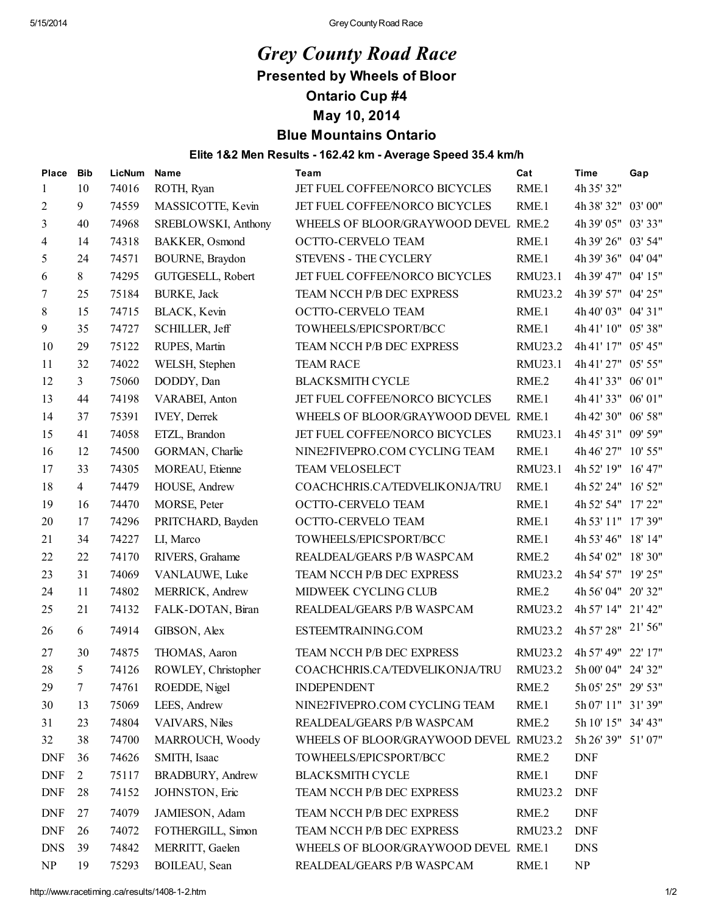## *Grey County Road Race* Presented by Wheels of Bloor Ontario Cup #4

## May 10, 2014

## Blue Mountains Ontario

## Elite 1&2 Men Results - 162.42 km - Average Speed 35.4 km/h

| <b>Place</b> | <b>Bib</b>     | LicNum | Name                     | Team                                   | Cat     | <b>Time</b>        | Gap |
|--------------|----------------|--------|--------------------------|----------------------------------------|---------|--------------------|-----|
| 1            | 10             | 74016  | ROTH, Ryan               | JET FUEL COFFEE/NORCO BICYCLES         | RME.1   | 4h 35' 32"         |     |
| 2            | 9              | 74559  | MASSICOTTE, Kevin        | JET FUEL COFFEE/NORCO BICYCLES         | RME.1   | 4h 38' 32" 03' 00" |     |
| 3            | 40             | 74968  | SREBLOWSKI, Anthony      | WHEELS OF BLOOR/GRAYWOOD DEVEL RME.2   |         | 4h 39' 05" 03' 33" |     |
| 4            | 14             | 74318  | BAKKER, Osmond           | OCTTO-CERVELO TEAM                     | RME.1   | 4h 39' 26" 03' 54" |     |
| 5            | 24             | 74571  | BOURNE, Braydon          | STEVENS - THE CYCLERY                  | RME.1   | 4h 39' 36" 04' 04" |     |
| 6            | 8              | 74295  | GUTGESELL, Robert        | JET FUEL COFFEE/NORCO BICYCLES         | RMU23.1 | 4h 39' 47" 04' 15" |     |
| 7            | 25             | 75184  | <b>BURKE, Jack</b>       | TEAM NCCH P/B DEC EXPRESS              | RMU23.2 | 4h 39' 57" 04' 25" |     |
| 8            | 15             | 74715  | BLACK, Kevin             | OCTTO-CERVELO TEAM                     | RME.1   | 4h 40' 03" 04' 31" |     |
| 9            | 35             | 74727  | SCHILLER, Jeff           | TOWHEELS/EPICSPORT/BCC                 | RME.1   | 4h 41' 10" 05' 38" |     |
| 10           | 29             | 75122  | RUPES, Martin            | TEAM NCCH P/B DEC EXPRESS              | RMU23.2 | 4h 41' 17" 05' 45" |     |
| 11           | 32             | 74022  | WELSH, Stephen           | <b>TEAM RACE</b>                       | RMU23.1 | 4h 41' 27" 05' 55" |     |
| 12           | $\mathfrak{Z}$ | 75060  | DODDY, Dan               | <b>BLACKSMITH CYCLE</b>                | RME.2   | 4h 41' 33" 06' 01" |     |
| 13           | 44             | 74198  | VARABEI, Anton           | JET FUEL COFFEE/NORCO BICYCLES         | RME.1   | 4h 41' 33" 06' 01" |     |
| 14           | 37             | 75391  | <b>IVEY, Derrek</b>      | WHEELS OF BLOOR/GRAYWOOD DEVEL RME.1   |         | 4h 42' 30" 06' 58" |     |
| 15           | 41             | 74058  | ETZL, Brandon            | JET FUEL COFFEE/NORCO BICYCLES         | RMU23.1 | 4h 45' 31" 09' 59" |     |
| 16           | 12             | 74500  | GORMAN, Charlie          | NINE2FIVEPRO.COM CYCLING TEAM          | RME.1   | 4h 46' 27" 10' 55" |     |
| 17           | 33             | 74305  | MOREAU, Etienne          | <b>TEAM VELOSELECT</b>                 | RMU23.1 | 4h 52' 19" 16' 47" |     |
| 18           | $\overline{4}$ | 74479  | HOUSE, Andrew            | COACHCHRIS.CA/TEDVELIKONJA/TRU         | RME.1   | 4h 52' 24" 16' 52" |     |
| 19           | 16             | 74470  | MORSE, Peter             | OCTTO-CERVELO TEAM                     | RME.1   | 4h 52' 54" 17' 22" |     |
| 20           | 17             | 74296  | PRITCHARD, Bayden        | OCTTO-CERVELO TEAM                     | RME.1   | 4h 53' 11" 17' 39" |     |
| 21           | 34             | 74227  | LI, Marco                | TOWHEELS/EPICSPORT/BCC                 | RME.1   | 4h 53' 46" 18' 14" |     |
| 22           | 22             | 74170  | RIVERS, Grahame          | REALDEAL/GEARS P/B WASPCAM             | RME.2   | 4h 54' 02" 18' 30" |     |
| 23           | 31             | 74069  | VANLAUWE, Luke           | TEAM NCCH P/B DEC EXPRESS              | RMU23.2 | 4h 54' 57" 19' 25" |     |
| 24           | 11             | 74802  | MERRICK, Andrew          | MIDWEEK CYCLING CLUB                   | RME.2   | 4h 56' 04" 20' 32" |     |
| 25           | 21             | 74132  | FALK-DOTAN, Biran        | REALDEAL/GEARS P/B WASPCAM             | RMU23.2 | 4h 57' 14" 21' 42" |     |
| 26           | 6              | 74914  | GIBSON, Alex             | ESTEEMTRAINING.COM                     | RMU23.2 | 4h 57' 28" 21' 56" |     |
| 27           | 30             | 74875  | THOMAS, Aaron            | TEAM NCCH P/B DEC EXPRESS              | RMU23.2 | 4h 57' 49" 22' 17" |     |
| 28           | 5              | 74126  | ROWLEY, Christopher      | COACHCHRIS.CA/TEDVELIKONJA/TRU         | RMU23.2 | 5h 00' 04" 24' 32" |     |
| 29           | $7\phantom{.}$ | 74761  | ROEDDE, Nigel            | <b>INDEPENDENT</b>                     | RME.2   | 5h 05' 25" 29' 53" |     |
| 30           | 13             | 75069  | LEES, Andrew             | NINE2FIVEPRO.COM CYCLING TEAM          | RME.1   | 5h 07' 11" 31' 39" |     |
| 31           | 23             | 74804  | VAIVARS, Niles           | REALDEAL/GEARS P/B WASPCAM             | RME.2   | 5h 10' 15" 34' 43" |     |
| 32           | 38             | 74700  | MARROUCH, Woody          | WHEELS OF BLOOR/GRAYWOOD DEVEL RMU23.2 |         | 5h 26' 39" 51' 07" |     |
| <b>DNF</b>   | 36             | 74626  | SMITH, Isaac             | TOWHEELS/EPICSPORT/BCC                 | RME.2   | <b>DNF</b>         |     |
| <b>DNF</b>   | $\overline{2}$ | 75117  | <b>BRADBURY</b> , Andrew | <b>BLACKSMITH CYCLE</b>                | RME.1   | <b>DNF</b>         |     |
| <b>DNF</b>   | 28             | 74152  | JOHNSTON, Eric           | TEAM NCCH P/B DEC EXPRESS              | RMU23.2 | <b>DNF</b>         |     |
| <b>DNF</b>   | 27             | 74079  | JAMIESON, Adam           | TEAM NCCH P/B DEC EXPRESS              | RME.2   | <b>DNF</b>         |     |
| <b>DNF</b>   | 26             | 74072  | FOTHERGILL, Simon        | TEAM NCCH P/B DEC EXPRESS              | RMU23.2 | <b>DNF</b>         |     |
| <b>DNS</b>   | 39             | 74842  | MERRITT, Gaelen          | WHEELS OF BLOOR/GRAYWOOD DEVEL RME.1   |         | <b>DNS</b>         |     |
| NP           | 19             | 75293  | BOILEAU, Sean            | REALDEAL/GEARS P/B WASPCAM             | RME.1   | NP                 |     |